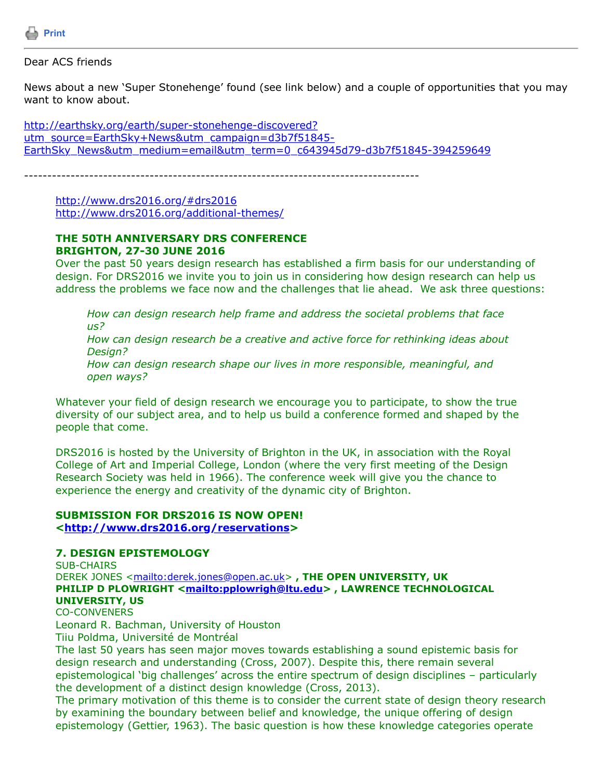

Dear ACS friends

News about a new 'Super Stonehenge' found (see link below) and a couple of opportunities that you may want to know about.

http://earthsky.org/earth/super-stonehenge-discovered? utm\_source=EarthSky+News&utm\_campaign=d3b7f51845-[EarthSky\\_News&utm\\_medium=email&utm\\_term=0\\_c643945d79-d3b7f51845-394259649](http://earthsky.org/earth/super-stonehenge-discovered?utm_source=EarthSky+News&utm_campaign=d3b7f51845-EarthSky_News&utm_medium=email&utm_term=0_c643945d79-d3b7f51845-394259649)

-------------------------------------------------------------------------------------

[http://www.drs2016.org/#drs2016](http://www.drs2016.org/%23drs2016) <http://www.drs2016.org/additional-themes/>

#### **THE 50TH ANNIVERSARY DRS CONFERENCE BRIGHTON, 27-30 JUNE 2016**

Over the past 50 years design research has established a firm basis for our understanding of design. For DRS2016 we invite you to join us in considering how design research can help us address the problems we face now and the challenges that lie ahead. We ask three questions:

*How can design research help frame and address the societal problems that face us?*

*How can design research be a creative and active force for rethinking ideas about Design?*

*How can design research shape our lives in more responsible, meaningful, and open ways?*

Whatever your field of design research we encourage you to participate, to show the true diversity of our subject area, and to help us build a conference formed and shaped by the people that come.

DRS2016 is hosted by the University of Brighton in the UK, in association with the Royal College of Art and Imperial College, London (where the very first meeting of the Design Research Society was held in 1966). The conference week will give you the chance to experience the energy and creativity of the dynamic city of Brighton.

## **SUBMISSION FOR DRS2016 IS NOW OPEN! [<http://www.drs2016.org/reservations](http://www.drs2016.org/reservations)>**

#### **7. DESIGN EPISTEMOLOGY**

SUB-CHAIRS DEREK JONES <<mailto:derek.jones@open.ac.uk>>, THE OPEN UNIVERSITY, UK **PHILIP D PLOWRIGHT <[mailto:pplowrigh@ltu.edu>](mailto:pplowrigh@ltu.edu) , LAWRENCE TECHNOLOGICAL UNIVERSITY, US** CO-CONVENERS

Leonard R. Bachman, University of Houston

Tiiu Poldma, Université de Montréal

The last 50 years has seen major moves towards establishing a sound epistemic basis for design research and understanding (Cross, 2007). Despite this, there remain several epistemological 'big challenges' across the entire spectrum of design disciplines – particularly the development of a distinct design knowledge (Cross, 2013).

The primary motivation of this theme is to consider the current state of design theory research by examining the boundary between belief and knowledge, the unique offering of design epistemology (Gettier, 1963). The basic question is how these knowledge categories operate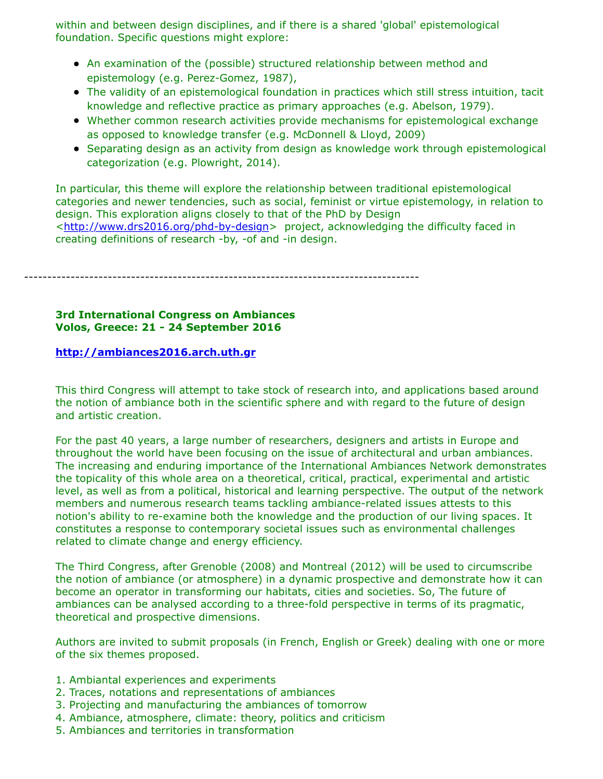within and between design disciplines, and if there is a shared 'global' epistemological foundation. Specific questions might explore:

- An examination of the (possible) structured relationship between method and epistemology (e.g. Perez-Gomez, 1987),
- The validity of an epistemological foundation in practices which still stress intuition, tacit knowledge and reflective practice as primary approaches (e.g. Abelson, 1979).
- Whether common research activities provide mechanisms for epistemological exchange as opposed to knowledge transfer (e.g. McDonnell & Lloyd, 2009)
- Separating design as an activity from design as knowledge work through epistemological categorization (e.g. Plowright, 2014).

In particular, this theme will explore the relationship between traditional epistemological categories and newer tendencies, such as social, feminist or virtue epistemology, in relation to design. This exploration aligns closely to that of the PhD by Design <<http://www.drs2016.org/phd-by-design>> project, acknowledging the difficulty faced in creating definitions of research -by, -of and -in design.

-------------------------------------------------------------------------------------

## **3rd International Congress on Ambiances Volos, Greece: 21 - 24 September 2016**

## **[http://ambiances2016.arch.uth.gr](http://ambiances2016.arch.uth.gr/)**

This third Congress will attempt to take stock of research into, and applications based around the notion of ambiance both in the scientific sphere and with regard to the future of design and artistic creation.

For the past 40 years, a large number of researchers, designers and artists in Europe and throughout the world have been focusing on the issue of architectural and urban ambiances. The increasing and enduring importance of the International Ambiances Network demonstrates the topicality of this whole area on a theoretical, critical, practical, experimental and artistic level, as well as from a political, historical and learning perspective. The output of the network members and numerous research teams tackling ambiance-related issues attests to this notion's ability to re-examine both the knowledge and the production of our living spaces. It constitutes a response to contemporary societal issues such as environmental challenges related to climate change and energy efficiency.

The Third Congress, after Grenoble (2008) and Montreal (2012) will be used to circumscribe the notion of ambiance (or atmosphere) in a dynamic prospective and demonstrate how it can become an operator in transforming our habitats, cities and societies. So, The future of ambiances can be analysed according to a three-fold perspective in terms of its pragmatic, theoretical and prospective dimensions.

Authors are invited to submit proposals (in French, English or Greek) dealing with one or more of the six themes proposed.

- 1. Ambiantal experiences and experiments
- 2. Traces, notations and representations of ambiances
- 3. Projecting and manufacturing the ambiances of tomorrow
- 4. Ambiance, atmosphere, climate: theory, politics and criticism
- 5. Ambiances and territories in transformation